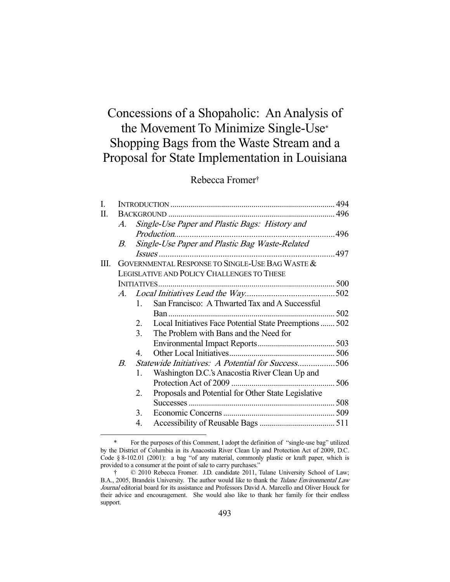# Concessions of a Shopaholic: An Analysis of the Movement To Minimize Single-Use\* Shopping Bags from the Waste Stream and a Proposal for State Implementation in Louisiana

# Rebecca Fromer†

| I. |                                            |                                                                |  |  |
|----|--------------------------------------------|----------------------------------------------------------------|--|--|
| П. |                                            |                                                                |  |  |
|    |                                            | A. Single-Use Paper and Plastic Bags: History and              |  |  |
|    |                                            |                                                                |  |  |
|    | B.                                         | Single-Use Paper and Plastic Bag Waste-Related                 |  |  |
|    |                                            |                                                                |  |  |
| Ш. |                                            | GOVERNMENTAL RESPONSE TO SINGLE-USE BAG WASTE &                |  |  |
|    | LEGISLATIVE AND POLICY CHALLENGES TO THESE |                                                                |  |  |
|    |                                            |                                                                |  |  |
|    |                                            |                                                                |  |  |
|    |                                            | San Francisco: A Thwarted Tax and A Successful<br>1.           |  |  |
|    |                                            |                                                                |  |  |
|    |                                            | Local Initiatives Face Potential State Preemptions  502<br>2.  |  |  |
|    |                                            | 3.<br>The Problem with Bans and the Need for                   |  |  |
|    |                                            |                                                                |  |  |
|    |                                            | 4.                                                             |  |  |
|    | В.                                         | Statewide Initiatives: A Potential for Success506              |  |  |
|    |                                            | Washington D.C.'s Anacostia River Clean Up and<br>1.           |  |  |
|    |                                            |                                                                |  |  |
|    |                                            | Proposals and Potential for Other State Legislative<br>$2_{-}$ |  |  |
|    |                                            |                                                                |  |  |
|    |                                            | 3.                                                             |  |  |
|    |                                            | 4.                                                             |  |  |

 <sup>\*</sup> For the purposes of this Comment, I adopt the definition of "single-use bag" utilized by the District of Columbia in its Anacostia River Clean Up and Protection Act of 2009, D.C. Code § 8-102.01 (2001): a bag "of any material, commonly plastic or kraft paper, which is provided to a consumer at the point of sale to carry purchases."

 $© 2010 Rebecca$  Fromer. J.D. candidate 2011, Tulane University School of Law; B.A., 2005, Brandeis University. The author would like to thank the Tulane Environmental Law Journal editorial board for its assistance and Professors David A. Marcello and Oliver Houck for their advice and encouragement. She would also like to thank her family for their endless support.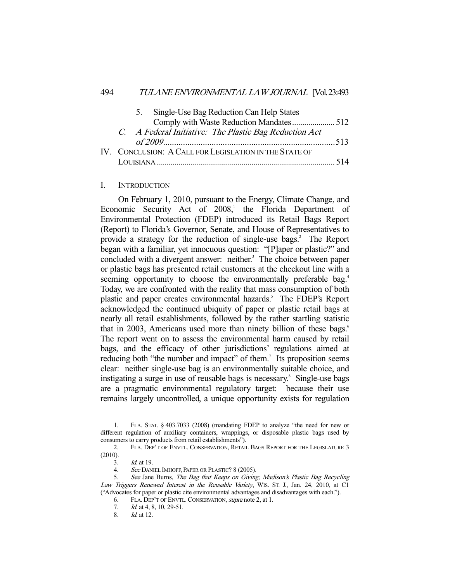|  | 5.                                                     | Single-Use Bag Reduction Can Help States               |  |
|--|--------------------------------------------------------|--------------------------------------------------------|--|
|  |                                                        | Comply with Waste Reduction Mandates 512               |  |
|  |                                                        | C. A Federal Initiative: The Plastic Bag Reduction Act |  |
|  |                                                        |                                                        |  |
|  | IV. CONCLUSION: A CALL FOR LEGISLATION IN THE STATE OF |                                                        |  |
|  |                                                        |                                                        |  |
|  |                                                        |                                                        |  |

#### I. INTRODUCTION

 On February 1, 2010, pursuant to the Energy, Climate Change, and Economic Security Act of  $2008$ , the Florida Department of Environmental Protection (FDEP) introduced its Retail Bags Report (Report) to Florida's Governor, Senate, and House of Representatives to provide a strategy for the reduction of single-use bags.<sup>2</sup> The Report began with a familiar, yet innocuous question: "[P]aper or plastic?" and concluded with a divergent answer: neither.<sup>3</sup> The choice between paper or plastic bags has presented retail customers at the checkout line with a seeming opportunity to choose the environmentally preferable bag.<sup>4</sup> Today, we are confronted with the reality that mass consumption of both plastic and paper creates environmental hazards.<sup>5</sup> The FDEP's Report acknowledged the continued ubiquity of paper or plastic retail bags at nearly all retail establishments, followed by the rather startling statistic that in 2003, Americans used more than ninety billion of these bags.<sup>6</sup> The report went on to assess the environmental harm caused by retail bags, and the efficacy of other jurisdictions' regulations aimed at reducing both "the number and impact" of them.<sup>7</sup> Its proposition seems clear: neither single-use bag is an environmentally suitable choice, and instigating a surge in use of reusable bags is necessary.<sup>8</sup> Single-use bags are a pragmatic environmental regulatory target: because their use remains largely uncontrolled, a unique opportunity exists for regulation

 <sup>1.</sup> FLA. STAT. § 403.7033 (2008) (mandating FDEP to analyze "the need for new or different regulation of auxiliary containers, wrappings, or disposable plastic bags used by consumers to carry products from retail establishments").

 <sup>2.</sup> FLA. DEP'T OF ENVTL. CONSERVATION, RETAIL BAGS REPORT FOR THE LEGISLATURE 3 (2010).

 <sup>3.</sup> Id. at 19.

 <sup>4.</sup> See DANIEL IMHOFF, PAPER OR PLASTIC? 8 (2005).

See Jane Burns, The Bag that Keeps on Giving; Madison's Plastic Bag Recycling Law Triggers Renewed Interest in the Reusable Variety, WIS. ST. J., Jan. 24, 2010, at C1 ("Advocates for paper or plastic cite environmental advantages and disadvantages with each.").

 <sup>6.</sup> FLA. DEP'T OF ENVTL.CONSERVATION, supra note 2, at 1.

<sup>7.</sup> *Id.* at 4, 8, 10, 29-51.

 <sup>8.</sup> Id. at 12.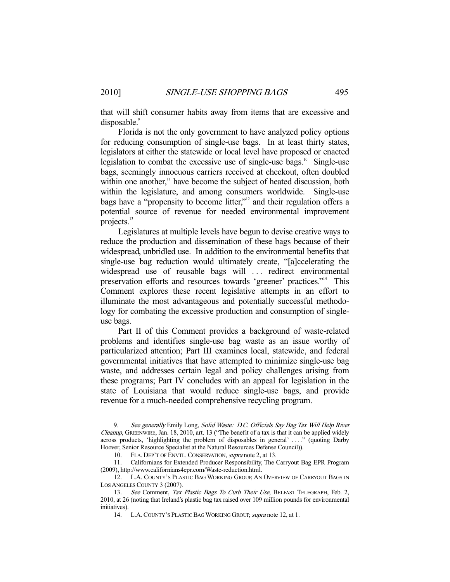that will shift consumer habits away from items that are excessive and disposable.<sup>9</sup>

 Florida is not the only government to have analyzed policy options for reducing consumption of single-use bags. In at least thirty states, legislators at either the statewide or local level have proposed or enacted legislation to combat the excessive use of single-use bags. $10^{\circ}$  Single-use bags, seemingly innocuous carriers received at checkout, often doubled within one another,<sup>11</sup> have become the subject of heated discussion, both within the legislature, and among consumers worldwide. Single-use bags have a "propensity to become litter,"<sup>12</sup> and their regulation offers a potential source of revenue for needed environmental improvement projects.<sup>13</sup>

 Legislatures at multiple levels have begun to devise creative ways to reduce the production and dissemination of these bags because of their widespread, unbridled use. In addition to the environmental benefits that single-use bag reduction would ultimately create, "[a]ccelerating the widespread use of reusable bags will ... redirect environmental preservation efforts and resources towards 'greener' practices."14 This Comment explores these recent legislative attempts in an effort to illuminate the most advantageous and potentially successful methodology for combating the excessive production and consumption of singleuse bags.

 Part II of this Comment provides a background of waste-related problems and identifies single-use bag waste as an issue worthy of particularized attention; Part III examines local, statewide, and federal governmental initiatives that have attempted to minimize single-use bag waste, and addresses certain legal and policy challenges arising from these programs; Part IV concludes with an appeal for legislation in the state of Louisiana that would reduce single-use bags, and provide revenue for a much-needed comprehensive recycling program.

<sup>9.</sup> See generally Emily Long, Solid Waste: D.C. Officials Say Bag Tax Will Help River Cleanup, GREENWIRE, Jan. 18, 2010, art. 13 ("The benefit of a tax is that it can be applied widely across products, 'highlighting the problem of disposables in general' . . . ." (quoting Darby Hoover, Senior Resource Specialist at the Natural Resources Defense Council)).

<sup>10.</sup> FLA. DEP'T OF ENVTL. CONSERVATION, supra note 2, at 13.

 <sup>11.</sup> Californians for Extended Producer Responsibility, The Carryout Bag EPR Program (2009), http://www.californians4epr.com/Waste-reduction.html.

 <sup>12.</sup> L.A. COUNTY'S PLASTIC BAG WORKING GROUP, AN OVERVIEW OF CARRYOUT BAGS IN LOS ANGELES COUNTY 3 (2007).

<sup>13.</sup> See Comment, Tax Plastic Bags To Curb Their Use, BELFAST TELEGRAPH, Feb. 2, 2010, at 26 (noting that Ireland's plastic bag tax raised over 109 million pounds for environmental initiatives).

 <sup>14.</sup> L.A.COUNTY'S PLASTIC BAG WORKING GROUP, supra note 12, at 1.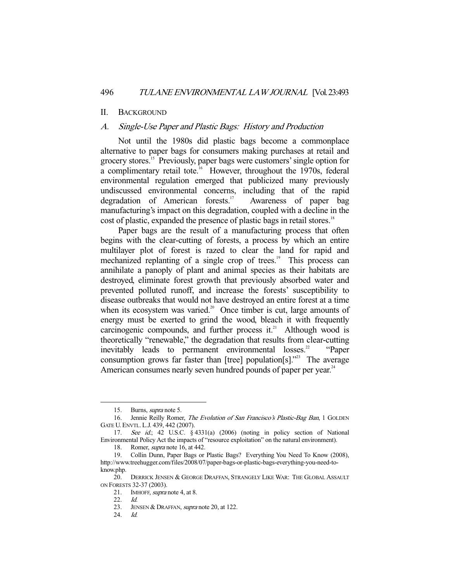#### II. BACKGROUND

#### A. Single-Use Paper and Plastic Bags: History and Production

 Not until the 1980s did plastic bags become a commonplace alternative to paper bags for consumers making purchases at retail and grocery stores.15 Previously, paper bags were customers' single option for a complimentary retail tote.<sup>16</sup> However, throughout the 1970s, federal environmental regulation emerged that publicized many previously undiscussed environmental concerns, including that of the rapid degradation of American forests.<sup>17</sup> Awareness of paper bag manufacturing's impact on this degradation, coupled with a decline in the cost of plastic, expanded the presence of plastic bags in retail stores.<sup>18</sup>

 Paper bags are the result of a manufacturing process that often begins with the clear-cutting of forests, a process by which an entire multilayer plot of forest is razed to clear the land for rapid and mechanized replanting of a single crop of trees.<sup>19</sup> This process can annihilate a panoply of plant and animal species as their habitats are destroyed, eliminate forest growth that previously absorbed water and prevented polluted runoff, and increase the forests' susceptibility to disease outbreaks that would not have destroyed an entire forest at a time when its ecosystem was varied.<sup>20</sup> Once timber is cut, large amounts of energy must be exerted to grind the wood, bleach it with frequently carcinogenic compounds, and further process it.<sup>21</sup> Although wood is theoretically "renewable," the degradation that results from clear-cutting inevitably leads to permanent environmental losses.<sup>22</sup> "Paper consumption grows far faster than [tree] population[s]."<sup>23</sup> The average American consumes nearly seven hundred pounds of paper per year.<sup>24</sup>

 <sup>15.</sup> Burns, supra note 5.

 <sup>16.</sup> Jennie Reilly Romer, The Evolution of San Francisco's Plastic-Bag Ban, 1 GOLDEN GATE U.ENVTL. L.J. 439, 442 (2007).

 <sup>17.</sup> See id.; 42 U.S.C. § 4331(a) (2006) (noting in policy section of National Environmental Policy Act the impacts of "resource exploitation" on the natural environment).

 <sup>18.</sup> Romer, supra note 16, at 442.

 <sup>19.</sup> Collin Dunn, Paper Bags or Plastic Bags? Everything You Need To Know (2008), http://www.treehugger.com/files/2008/07/paper-bags-or-plastic-bags-everything-you-need-toknow.php.

<sup>20.</sup> DERRICK JENSEN & GEORGE DRAFFAN, STRANGELY LIKE WAR: THE GLOBAL ASSAULT ON FORESTS 32-37 (2003).

<sup>21.</sup> IMHOFF, *supra* note 4, at 8.

 <sup>22.</sup> Id.

<sup>23.</sup> JENSEN & DRAFFAN, *supra* note 20, at 122.

 <sup>24.</sup> Id.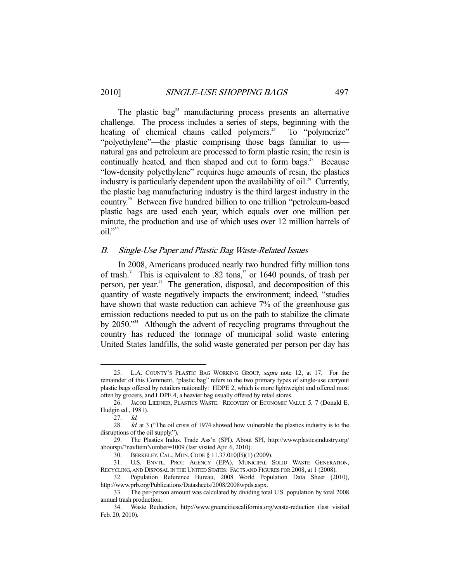The plastic bag<sup>25</sup> manufacturing process presents an alternative challenge. The process includes a series of steps, beginning with the heating of chemical chains called polymers.<sup>26</sup> To "polymerize" "polyethylene"—the plastic comprising those bags familiar to us natural gas and petroleum are processed to form plastic resin; the resin is continually heated, and then shaped and cut to form bags. $27$  Because "low-density polyethylene" requires huge amounts of resin, the plastics industry is particularly dependent upon the availability of oil.<sup>28</sup> Currently, the plastic bag manufacturing industry is the third largest industry in the country.29 Between five hundred billion to one trillion "petroleum-based plastic bags are used each year, which equals over one million per minute, the production and use of which uses over 12 million barrels of  $oil.$ <sup>"30</sup>

#### B. Single-Use Paper and Plastic Bag Waste-Related Issues

 In 2008, Americans produced nearly two hundred fifty million tons of trash.<sup>31</sup> This is equivalent to .82 tons,<sup>32</sup> or 1640 pounds, of trash per person, per year.<sup>33</sup> The generation, disposal, and decomposition of this quantity of waste negatively impacts the environment; indeed, "studies have shown that waste reduction can achieve 7% of the greenhouse gas emission reductions needed to put us on the path to stabilize the climate by 2050."34 Although the advent of recycling programs throughout the country has reduced the tonnage of municipal solid waste entering United States landfills, the solid waste generated per person per day has

<sup>25.</sup> L.A. COUNTY'S PLASTIC BAG WORKING GROUP, supra note 12, at 17. For the remainder of this Comment, "plastic bag" refers to the two primary types of single-use carryout plastic bags offered by retailers nationally: HDPE 2, which is more lightweight and offered most often by grocers, and LDPE 4, a heavier bag usually offered by retail stores.

 <sup>26.</sup> JACOB LIEDNER, PLASTICS WASTE: RECOVERY OF ECONOMIC VALUE 5, 7 (Donald E. Hudgin ed., 1981).

 <sup>27.</sup> Id.

<sup>28.</sup> *Id.* at 3 ("The oil crisis of 1974 showed how vulnerable the plastics industry is to the disruptions of the oil supply.").

 <sup>29.</sup> The Plastics Indus. Trade Ass'n (SPI), About SPI, http://www.plasticsindustry.org/ aboutspi/?navItemNumber=1009 (last visited Apr. 6, 2010).

 <sup>30.</sup> BERKELEY,CAL., MUN.CODE § 11.37.010(B)(1) (2009).

 <sup>31.</sup> U.S. ENVTL. PROT. AGENCY (EPA), MUNICIPAL SOLID WASTE GENERATION, RECYCLING, AND DISPOSAL IN THE UNITED STATES: FACTS AND FIGURES FOR 2008, at 1 (2008).

 <sup>32.</sup> Population Reference Bureau, 2008 World Population Data Sheet (2010), http://www.prb.org/Publications/Datasheets/2008/2008wpds.aspx.

 <sup>33.</sup> The per-person amount was calculated by dividing total U.S. population by total 2008 annual trash production.

 <sup>34.</sup> Waste Reduction, http://www.greencitiescalifornia.org/waste-reduction (last visited Feb. 20, 2010).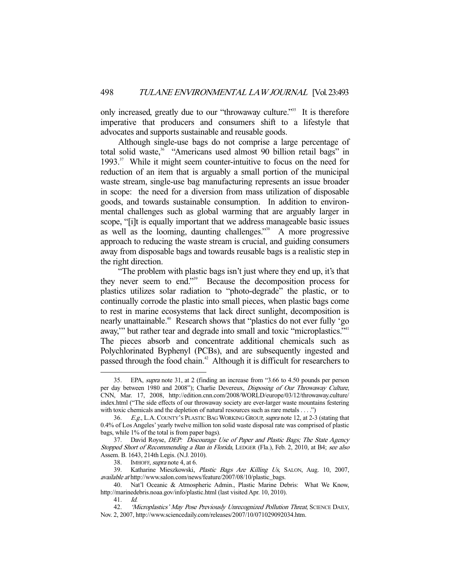only increased, greatly due to our "throwaway culture."<sup>35</sup> It is therefore imperative that producers and consumers shift to a lifestyle that advocates and supports sustainable and reusable goods.

 Although single-use bags do not comprise a large percentage of total solid waste,<sup>36</sup> "Americans used almost 90 billion retail bags" in 1993.37 While it might seem counter-intuitive to focus on the need for reduction of an item that is arguably a small portion of the municipal waste stream, single-use bag manufacturing represents an issue broader in scope: the need for a diversion from mass utilization of disposable goods, and towards sustainable consumption. In addition to environmental challenges such as global warming that are arguably larger in scope, "[i]t is equally important that we address manageable basic issues as well as the looming, daunting challenges."<sup>38</sup> A more progressive approach to reducing the waste stream is crucial, and guiding consumers away from disposable bags and towards reusable bags is a realistic step in the right direction.

 "The problem with plastic bags isn't just where they end up, it's that they never seem to end."39 Because the decomposition process for plastics utilizes solar radiation to "photo-degrade" the plastic, or to continually corrode the plastic into small pieces, when plastic bags come to rest in marine ecosystems that lack direct sunlight, decomposition is nearly unattainable.<sup>40</sup> Research shows that "plastics do not ever fully 'go away," but rather tear and degrade into small and toxic "microplastics."<sup>41</sup> The pieces absorb and concentrate additional chemicals such as Polychlorinated Byphenyl (PCBs), and are subsequently ingested and passed through the food chain.<sup>42</sup> Although it is difficult for researchers to

 <sup>35.</sup> EPA, supra note 31, at 2 (finding an increase from "3.66 to 4.50 pounds per person per day between 1980 and 2008"); Charlie Devereux, Disposing of Our Throwaway Culture, CNN, Mar. 17, 2008, http://edition.cnn.com/2008/WORLD/europe/03/12/throwaway.culture/ index.html ("The side effects of our throwaway society are ever-larger waste mountains festering with toxic chemicals and the depletion of natural resources such as rare metals . . . .")

 <sup>36.</sup> E.g., L.A.COUNTY'S PLASTIC BAG WORKING GROUP, supra note 12, at 2-3 (stating that 0.4% of Los Angeles' yearly twelve million ton solid waste disposal rate was comprised of plastic bags, while 1% of the total is from paper bags).

<sup>37.</sup> David Royse, *DEP: Discourage Use of Paper and Plastic Bags; The State Agency* Stopped Short of Recommending a Ban in Florida, LEDGER (Fla.), Feb. 2, 2010, at B4; see also Assem. B. 1643, 214th Legis. (N.J. 2010).

<sup>38.</sup> IMHOFF, *supra* note 4, at 6.

<sup>39.</sup> Katharine Mieszkowski, Plastic Bags Are Killing Us, SALON, Aug. 10, 2007, available at http://www.salon.com/news/feature/2007/08/10/plastic\_bags.

 <sup>40.</sup> Nat'l Oceanic & Atmospheric Admin., Plastic Marine Debris: What We Know, http://marinedebris.noaa.gov/info/plastic.html (last visited Apr. 10, 2010).

 <sup>41.</sup> Id.

<sup>42. &#</sup>x27;Microplastics' May Pose Previously Unrecognized Pollution Threat, SCIENCE DAILY, Nov. 2, 2007, http://www.sciencedaily.com/releases/2007/10/071029092034.htm.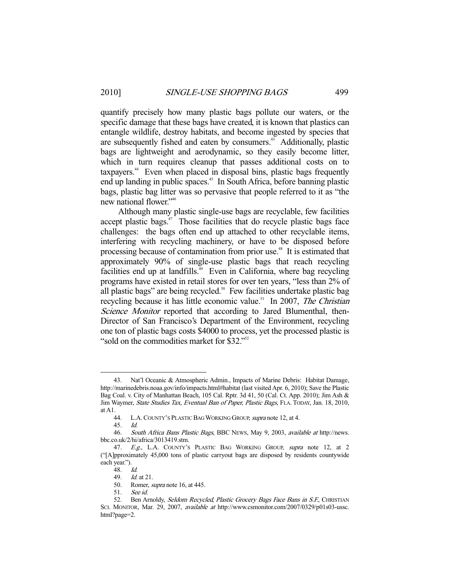quantify precisely how many plastic bags pollute our waters, or the specific damage that these bags have created, it is known that plastics can entangle wildlife, destroy habitats, and become ingested by species that are subsequently fished and eaten by consumers.<sup>43</sup> Additionally, plastic bags are lightweight and aerodynamic, so they easily become litter, which in turn requires cleanup that passes additional costs on to taxpayers.<sup>44</sup> Even when placed in disposal bins, plastic bags frequently end up landing in public spaces.<sup>45</sup> In South Africa, before banning plastic bags, plastic bag litter was so pervasive that people referred to it as "the new national flower."46

 Although many plastic single-use bags are recyclable, few facilities accept plastic bags.<sup>47</sup> Those facilities that do recycle plastic bags face challenges: the bags often end up attached to other recyclable items, interfering with recycling machinery, or have to be disposed before processing because of contamination from prior use.<sup>48</sup> It is estimated that approximately 90% of single-use plastic bags that reach recycling facilities end up at landfills.<sup>49</sup> Even in California, where bag recycling programs have existed in retail stores for over ten years, "less than 2% of all plastic bags" are being recycled.<sup>50</sup> Few facilities undertake plastic bag recycling because it has little economic value.<sup>51</sup> In 2007, *The Christian* Science Monitor reported that according to Jared Blumenthal, then-Director of San Francisco's Department of the Environment, recycling one ton of plastic bags costs \$4000 to process, yet the processed plastic is "sold on the commodities market for \$32."<sup>52</sup>

 <sup>43.</sup> Nat'l Oceanic & Atmospheric Admin., Impacts of Marine Debris: Habitat Damage, http://marinedebris.noaa.gov/info/impacts.html#habitat (last visited Apr. 6, 2010); Save the Plastic Bag Coal. v. City of Manhattan Beach, 105 Cal. Rptr. 3d 41, 50 (Cal. Ct. App. 2010); Jim Ash & Jim Waymer, State Studies Tax, Eventual Ban of Paper, Plastic Bags, FLA. TODAY, Jan. 18, 2010, at A1.<br> $44.$ 

L.A. COUNTY'S PLASTIC BAG WORKING GROUP, supra note 12, at 4.

 <sup>45.</sup> Id.

 <sup>46.</sup> South Africa Bans Plastic Bags, BBC NEWS, May 9, 2003, available at http://news. bbc.co.uk/2/hi/africa/3013419.stm.

<sup>47.</sup> E.g., L.A. COUNTY'S PLASTIC BAG WORKING GROUP, supra note 12, at 2 ("[A]pproximately 45,000 tons of plastic carryout bags are disposed by residents countywide each year.").

<sup>48.</sup> *Id.*<br>49. *Id.* 

*Id.* at 21.

 <sup>50.</sup> Romer, supra note 16, at 445.

 <sup>51.</sup> See id.

<sup>52.</sup> Ben Arnoldy, Seldom Recycled, Plastic Grocery Bags Face Bans in S.F., CHRISTIAN SCI. MONITOR, Mar. 29, 2007, available at http://www.csmonitor.com/2007/0329/p01s03-ussc. html?page=2.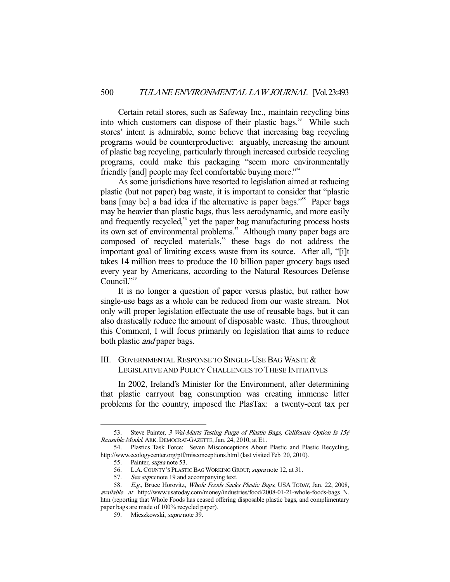Certain retail stores, such as Safeway Inc., maintain recycling bins into which customers can dispose of their plastic bags.<sup>53</sup> While such stores' intent is admirable, some believe that increasing bag recycling programs would be counterproductive: arguably, increasing the amount of plastic bag recycling, particularly through increased curbside recycling programs, could make this packaging "seem more environmentally friendly [and] people may feel comfortable buying more."54

 As some jurisdictions have resorted to legislation aimed at reducing plastic (but not paper) bag waste, it is important to consider that "plastic bans [may be] a bad idea if the alternative is paper bags."<sup>55</sup> Paper bags may be heavier than plastic bags, thus less aerodynamic, and more easily and frequently recycled,<sup>56</sup> yet the paper bag manufacturing process hosts its own set of environmental problems.<sup>57</sup> Although many paper bags are composed of recycled materials,<sup>58</sup> these bags do not address the important goal of limiting excess waste from its source. After all, "[i]t takes 14 million trees to produce the 10 billion paper grocery bags used every year by Americans, according to the Natural Resources Defense Council."<sup>59</sup>

 It is no longer a question of paper versus plastic, but rather how single-use bags as a whole can be reduced from our waste stream. Not only will proper legislation effectuate the use of reusable bags, but it can also drastically reduce the amount of disposable waste. Thus, throughout this Comment, I will focus primarily on legislation that aims to reduce both plastic *and* paper bags.

# III. GOVERNMENTAL RESPONSE TO SINGLE-USE BAG WASTE & LEGISLATIVE AND POLICY CHALLENGES TO THESE INITIATIVES

 In 2002, Ireland's Minister for the Environment, after determining that plastic carryout bag consumption was creating immense litter problems for the country, imposed the PlasTax: a twenty-cent tax per

<sup>53.</sup> Steve Painter, 3 Wal-Marts Testing Purge of Plastic Bags, California Option Is 15¢ Reusable Model, ARK. DEMOCRAT-GAZETTE, Jan. 24, 2010, at E1.

 <sup>54.</sup> Plastics Task Force: Seven Misconceptions About Plastic and Plastic Recycling, http://www.ecologycenter.org/ptf/misconceptions.html (last visited Feb. 20, 2010).

 <sup>55.</sup> Painter, supra note 53.

<sup>56.</sup> L.A. COUNTY's PLASTIC BAG WORKING GROUP, *supra* note 12, at 31.<br>57. See supra note 19 and accompanying text.

See supra note 19 and accompanying text.

 <sup>58.</sup> E.g., Bruce Horovitz, Whole Foods Sacks Plastic Bags, USA TODAY, Jan. 22, 2008, available at http://www.usatoday.com/money/industries/food/2008-01-21-whole-foods-bags\_N. htm (reporting that Whole Foods has ceased offering disposable plastic bags, and complimentary paper bags are made of 100% recycled paper).

 <sup>59.</sup> Mieszkowski, supra note 39.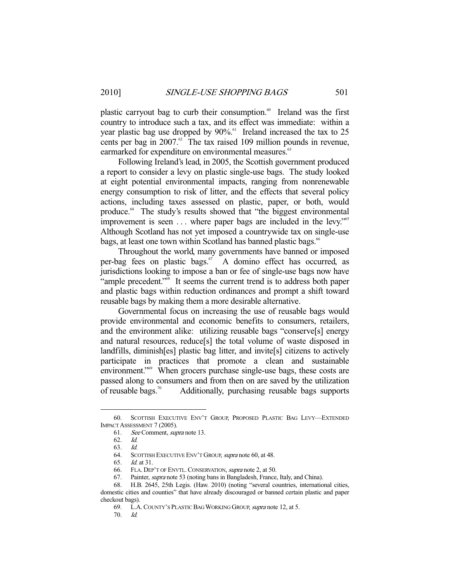plastic carryout bag to curb their consumption.<sup>60</sup> Ireland was the first country to introduce such a tax, and its effect was immediate: within a year plastic bag use dropped by  $90\%$ .<sup>61</sup> Ireland increased the tax to 25 cents per bag in  $2007$ .<sup>62</sup> The tax raised 109 million pounds in revenue, earmarked for expenditure on environmental measures.<sup>63</sup>

 Following Ireland's lead, in 2005, the Scottish government produced a report to consider a levy on plastic single-use bags. The study looked at eight potential environmental impacts, ranging from nonrenewable energy consumption to risk of litter, and the effects that several policy actions, including taxes assessed on plastic, paper, or both, would produce.64 The study's results showed that "the biggest environmental improvement is seen ... where paper bags are included in the levy."<sup>65</sup> Although Scotland has not yet imposed a countrywide tax on single-use bags, at least one town within Scotland has banned plastic bags.<sup>66</sup>

 Throughout the world, many governments have banned or imposed per-bag fees on plastic bags.<sup>67</sup> A domino effect has occurred, as jurisdictions looking to impose a ban or fee of single-use bags now have "ample precedent."<sup>68</sup> It seems the current trend is to address both paper and plastic bags within reduction ordinances and prompt a shift toward reusable bags by making them a more desirable alternative.

 Governmental focus on increasing the use of reusable bags would provide environmental and economic benefits to consumers, retailers, and the environment alike: utilizing reusable bags "conserve[s] energy and natural resources, reduce[s] the total volume of waste disposed in landfills, diminish[es] plastic bag litter, and invite[s] citizens to actively participate in practices that promote a clean and sustainable environment."<sup>69</sup> When grocers purchase single-use bags, these costs are passed along to consumers and from then on are saved by the utilization of reusable bags.<sup>70</sup> Additionally, purchasing reusable bags supports

 <sup>60.</sup> SCOTTISH EXECUTIVE ENV'T GROUP, PROPOSED PLASTIC BAG LEVY—EXTENDED IMPACT ASSESSMENT 7 (2005).

 <sup>61.</sup> See Comment, supra note 13.

 <sup>62.</sup> Id.

 <sup>63.</sup> Id.

<sup>64.</sup> SCOTTISH EXECUTIVE ENV'T GROUP, supra note 60, at 48.

 <sup>65.</sup> Id. at 31.

<sup>66.</sup> FLA. DEP'T OF ENVTL. CONSERVATION, *supra* note 2, at 50.<br>67. Painter, *supra* note 53 (noting bans in Bangladesh, France,

Painter, *supra* note 53 (noting bans in Bangladesh, France, Italy, and China).

 <sup>68.</sup> H.B. 2645, 25th Legis. (Haw. 2010) (noting "several countries, international cities, domestic cities and counties" that have already discouraged or banned certain plastic and paper checkout bags).

 <sup>69.</sup> L.A.COUNTY'S PLASTIC BAG WORKING GROUP, supra note 12, at 5.

 <sup>70.</sup> Id.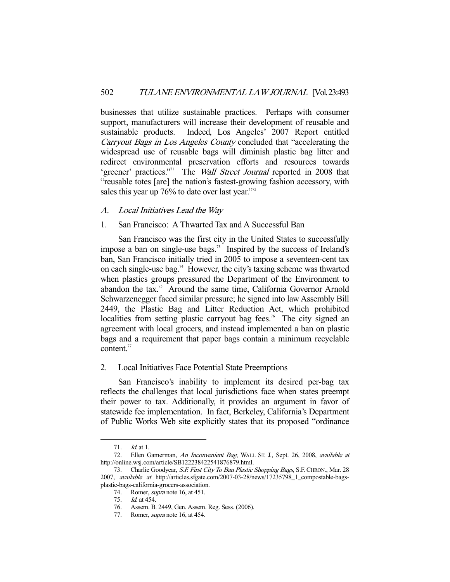businesses that utilize sustainable practices. Perhaps with consumer support, manufacturers will increase their development of reusable and sustainable products. Indeed, Los Angeles' 2007 Report entitled Carryout Bags in Los Angeles County concluded that "accelerating the widespread use of reusable bags will diminish plastic bag litter and redirect environmental preservation efforts and resources towards 'greener' practices."<sup>71</sup> The *Wall Street Journal* reported in 2008 that "reusable totes [are] the nation's fastest-growing fashion accessory, with sales this year up  $76\%$  to date over last year."<sup>72</sup>

#### A. Local Initiatives Lead the Way

# 1. San Francisco: A Thwarted Tax and A Successful Ban

 San Francisco was the first city in the United States to successfully impose a ban on single-use bags.<sup>73</sup> Inspired by the success of Ireland's ban, San Francisco initially tried in 2005 to impose a seventeen-cent tax on each single-use bag.<sup>74</sup> However, the city's taxing scheme was thwarted when plastics groups pressured the Department of the Environment to abandon the tax.<sup>75</sup> Around the same time, California Governor Arnold Schwarzenegger faced similar pressure; he signed into law Assembly Bill 2449, the Plastic Bag and Litter Reduction Act, which prohibited localities from setting plastic carryout bag fees.<sup>76</sup> The city signed an agreement with local grocers, and instead implemented a ban on plastic bags and a requirement that paper bags contain a minimum recyclable content.<sup>77</sup>

#### 2. Local Initiatives Face Potential State Preemptions

 San Francisco's inability to implement its desired per-bag tax reflects the challenges that local jurisdictions face when states preempt their power to tax. Additionally, it provides an argument in favor of statewide fee implementation. In fact, Berkeley, California's Department of Public Works Web site explicitly states that its proposed "ordinance

 <sup>71.</sup> Id. at 1.

 <sup>72.</sup> Ellen Gamerman, An Inconvenient Bag, WALL ST. J., Sept. 26, 2008, available at http://online.wsj.com/article/SB122238422541876879.html.

<sup>73.</sup> Charlie Goodyear, S.F. First City To Ban Plastic Shopping Bags, S.F. CHRON., Mar. 28 2007, available at http://articles.sfgate.com/2007-03-28/news/17235798\_1\_compostable-bagsplastic-bags-california-grocers-association.

 <sup>74.</sup> Romer, supra note 16, at 451.

 <sup>75.</sup> Id. at 454.

 <sup>76.</sup> Assem. B. 2449, Gen. Assem. Reg. Sess. (2006).

<sup>77.</sup> Romer, *supra* note 16, at 454.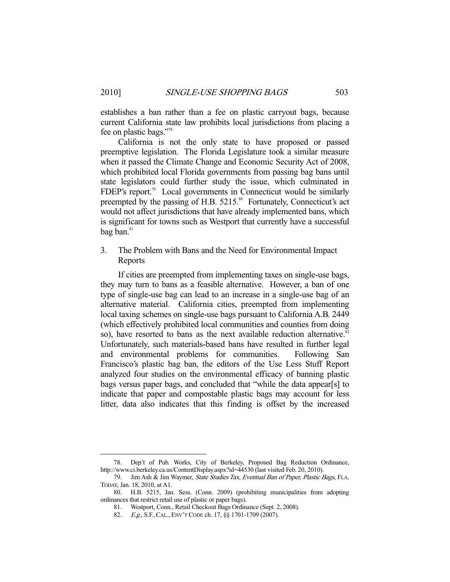establishes a ban rather than a fee on plastic carryout bags, because current California state law prohibits local jurisdictions from placing a fee on plastic bags."78

 California is not the only state to have proposed or passed preemptive legislation. The Florida Legislature took a similar measure when it passed the Climate Change and Economic Security Act of 2008, which prohibited local Florida governments from passing bag bans until state legislators could further study the issue, which culminated in FDEP's report.<sup>79</sup> Local governments in Connecticut would be similarly preempted by the passing of H.B. 5215.<sup>80</sup> Fortunately, Connecticut's act would not affect jurisdictions that have already implemented bans, which is significant for towns such as Westport that currently have a successful  $bag ban.<sup>81</sup>$ 

3. The Problem with Bans and the Need for Environmental Impact Reports

 If cities are preempted from implementing taxes on single-use bags, they may turn to bans as a feasible alternative. However, a ban of one type of single-use bag can lead to an increase in a single-use bag of an alternative material. California cities, preempted from implementing local taxing schemes on single-use bags pursuant to California A.B. 2449 (which effectively prohibited local communities and counties from doing so), have resorted to bans as the next available reduction alternative. $82$ Unfortunately, such materials-based bans have resulted in further legal and environmental problems for communities. Following San Francisco's plastic bag ban, the editors of the Use Less Stuff Report analyzed four studies on the environmental efficacy of banning plastic bags versus paper bags, and concluded that "while the data appear[s] to indicate that paper and compostable plastic bags may account for less litter, data also indicates that this finding is offset by the increased

 <sup>78.</sup> Dep't of Pub. Works, City of Berkeley, Proposed Bag Reduction Ordinance, http://www.ci.berkeley.ca.us/ContentDisplay.aspx?id=44530 (last visited Feb. 20, 2010).

<sup>79.</sup> Jim Ash & Jim Waymer, State Studies Tax, Eventual Ban of Paper, Plastic Bags, FLA. TODAY, Jan. 18, 2010, at A1.

 <sup>80.</sup> H.B. 5215, Jan. Sess. (Conn. 2009) (prohibiting municipalities from adopting ordinances that restrict retail use of plastic or paper bags).

 <sup>81.</sup> Westport, Conn., Retail Checkout Bags Ordinance (Sept. 2, 2008).

<sup>82.</sup> E.g., S.F., CAL., ENV'T CODE ch. 17, §§ 1701-1709 (2007).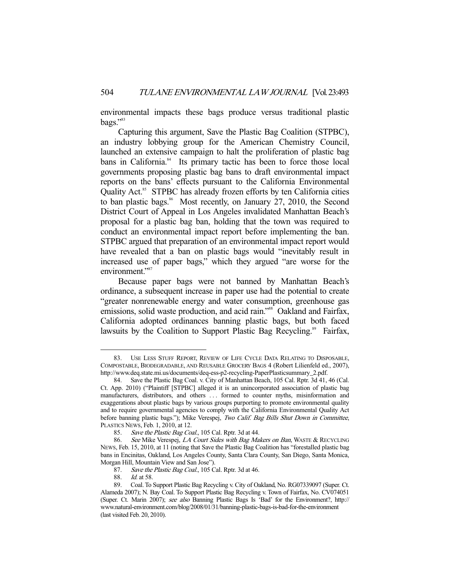environmental impacts these bags produce versus traditional plastic bags."83

 Capturing this argument, Save the Plastic Bag Coalition (STPBC), an industry lobbying group for the American Chemistry Council, launched an extensive campaign to halt the proliferation of plastic bag bans in California.<sup>84</sup> Its primary tactic has been to force those local governments proposing plastic bag bans to draft environmental impact reports on the bans' effects pursuant to the California Environmental Quality Act.<sup>85</sup> STPBC has already frozen efforts by ten California cities to ban plastic bags.<sup>86</sup> Most recently, on January 27, 2010, the Second District Court of Appeal in Los Angeles invalidated Manhattan Beach's proposal for a plastic bag ban, holding that the town was required to conduct an environmental impact report before implementing the ban. STPBC argued that preparation of an environmental impact report would have revealed that a ban on plastic bags would "inevitably result in increased use of paper bags," which they argued "are worse for the environment."<sup>87</sup>

 Because paper bags were not banned by Manhattan Beach's ordinance, a subsequent increase in paper use had the potential to create "greater nonrenewable energy and water consumption, greenhouse gas emissions, solid waste production, and acid rain."<sup>88</sup> Oakland and Fairfax, California adopted ordinances banning plastic bags, but both faced lawsuits by the Coalition to Support Plastic Bag Recycling.<sup>89</sup> Fairfax,

 <sup>83.</sup> USE LESS STUFF REPORT, REVIEW OF LIFE CYCLE DATA RELATING TO DISPOSABLE, COMPOSTABLE, BIODEGRADABLE, AND REUSABLE GROCERY BAGS 4 (Robert Lilienfeld ed., 2007), http://www.deq.state.mi.us/documents/deq-ess-p2-recycling-PaperPlasticsummary\_2.pdf.

 <sup>84.</sup> Save the Plastic Bag Coal. v. City of Manhattan Beach, 105 Cal. Rptr. 3d 41, 46 (Cal. Ct. App. 2010) ("Plaintiff [STPBC] alleged it is an unincorporated association of plastic bag manufacturers, distributors, and others . . . formed to counter myths, misinformation and exaggerations about plastic bags by various groups purporting to promote environmental quality and to require governmental agencies to comply with the California Environmental Quality Act before banning plastic bags."); Mike Verespej, Two Calif. Bag Bills Shut Down in Committee, PLASTICS NEWS, Feb. 1, 2010, at 12.

<sup>85.</sup> Save the Plastic Bag Coal., 105 Cal. Rptr. 3d at 44.

<sup>86.</sup> See Mike Verespej, LA Court Sides with Bag Makers on Ban, WASTE & RECYCLING NEWS, Feb. 15, 2010, at 11 (noting that Save the Plastic Bag Coalition has "forestalled plastic bag bans in Encinitas, Oakland, Los Angeles County, Santa Clara County, San Diego, Santa Monica, Morgan Hill, Mountain View and San Jose").

<sup>87.</sup> Save the Plastic Bag Coal., 105 Cal. Rptr. 3d at 46.

<sup>88.</sup> *Id.* at 58.

 <sup>89.</sup> Coal. To Support Plastic Bag Recycling v. City of Oakland, No. RG07339097 (Super. Ct. Alameda 2007); N. Bay Coal. To Support Plastic Bag Recycling v. Town of Fairfax, No. CV074051 (Super. Ct. Marin 2007); see also Banning Plastic Bags Is 'Bad' for the Environment?, http:// www.natural-environment.com/blog/2008/01/31/banning-plastic-bags-is-bad-for-the-environment (last visited Feb. 20, 2010).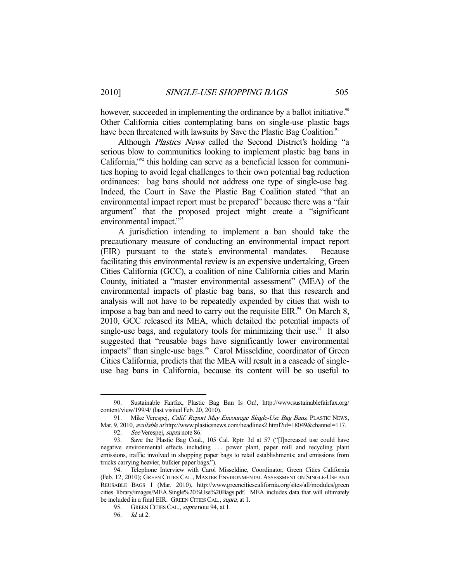however, succeeded in implementing the ordinance by a ballot initiative.<sup>90</sup> Other California cities contemplating bans on single-use plastic bags have been threatened with lawsuits by Save the Plastic Bag Coalition.<sup>91</sup>

Although *Plastics News* called the Second District's holding "a serious blow to communities looking to implement plastic bag bans in California,"92 this holding can serve as a beneficial lesson for communities hoping to avoid legal challenges to their own potential bag reduction ordinances: bag bans should not address one type of single-use bag. Indeed, the Court in Save the Plastic Bag Coalition stated "that an environmental impact report must be prepared" because there was a "fair argument" that the proposed project might create a "significant environmental impact."<sup>93</sup>

 A jurisdiction intending to implement a ban should take the precautionary measure of conducting an environmental impact report (EIR) pursuant to the state's environmental mandates. Because facilitating this environmental review is an expensive undertaking, Green Cities California (GCC), a coalition of nine California cities and Marin County, initiated a "master environmental assessment" (MEA) of the environmental impacts of plastic bag bans, so that this research and analysis will not have to be repeatedly expended by cities that wish to impose a bag ban and need to carry out the requisite EIR. $94$  On March 8, 2010, GCC released its MEA, which detailed the potential impacts of single-use bags, and regulatory tools for minimizing their use.<sup>95</sup> It also suggested that "reusable bags have significantly lower environmental impacts" than single-use bags.<sup>96</sup> Carol Misseldine, coordinator of Green Cities California, predicts that the MEA will result in a cascade of singleuse bag bans in California, because its content will be so useful to

 <sup>90.</sup> Sustainable Fairfax, Plastic Bag Ban Is On!, http://www.sustainablefairfax.org/ content/view/199/4/ (last visited Feb. 20, 2010).

<sup>91.</sup> Mike Verespej, Calif. Report May Encourage Single-Use Bag Bans, PLASTIC NEWS, Mar. 9, 2010, *available at* http://www.plasticsnews.com/headlines2.html?id=18049&channel=117.

<sup>92.</sup> *See* Verespej, *supra* note 86.<br>93. Save the Plastic Bag Coal.

Save the Plastic Bag Coal., 105 Cal. Rptr. 3d at 57 ("[I]ncreased use could have negative environmental effects including . . . power plant, paper mill and recycling plant emissions, traffic involved in shopping paper bags to retail establishments; and emissions from trucks carrying heavier, bulkier paper bags.").

 <sup>94.</sup> Telephone Interview with Carol Misseldine, Coordinator, Green Cities California (Feb. 12, 2010); GREEN CITIES CAL., MASTER ENVIRONMENTAL ASSESSMENT ON SINGLE-USE AND REUSABLE BAGS 1 (Mar. 2010), http://www.greencitiescalifornia.org/sites/all/modules/green cities\_library/images/MEA.Single%20%Use%20Bags.pdf. MEA includes data that will ultimately be included in a final EIR. GREEN CITIES CAL., supra, at 1.

<sup>95.</sup> GREEN CITIES CAL., *supra* note 94, at 1.

 <sup>96.</sup> Id. at 2.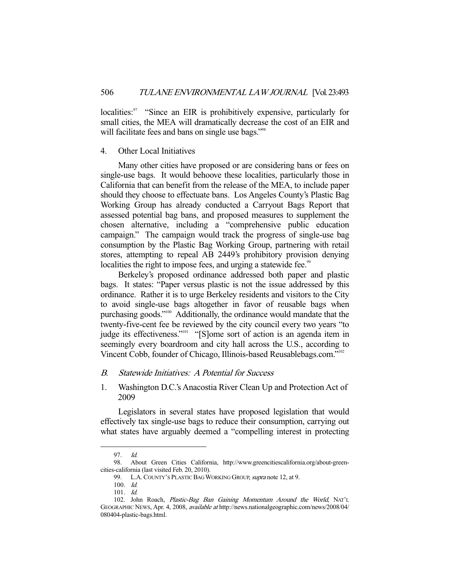localities:<sup>97</sup> "Since an EIR is prohibitively expensive, particularly for small cities, the MEA will dramatically decrease the cost of an EIR and will facilitate fees and bans on single use bags."<sup>98</sup>

#### 4. Other Local Initiatives

 Many other cities have proposed or are considering bans or fees on single-use bags. It would behoove these localities, particularly those in California that can benefit from the release of the MEA, to include paper should they choose to effectuate bans. Los Angeles County's Plastic Bag Working Group has already conducted a Carryout Bags Report that assessed potential bag bans, and proposed measures to supplement the chosen alternative, including a "comprehensive public education campaign." The campaign would track the progress of single-use bag consumption by the Plastic Bag Working Group, partnering with retail stores, attempting to repeal AB 2449's prohibitory provision denying localities the right to impose fees, and urging a statewide fee.<sup>99</sup>

 Berkeley's proposed ordinance addressed both paper and plastic bags. It states: "Paper versus plastic is not the issue addressed by this ordinance. Rather it is to urge Berkeley residents and visitors to the City to avoid single-use bags altogether in favor of reusable bags when purchasing goods."<sup>100</sup> Additionally, the ordinance would mandate that the twenty-five-cent fee be reviewed by the city council every two years "to judge its effectiveness."101 "[S]ome sort of action is an agenda item in seemingly every boardroom and city hall across the U.S., according to Vincent Cobb, founder of Chicago, Illinois-based Reusablebags.com."102

#### B. Statewide Initiatives: A Potential for Success

1. Washington D.C.'s Anacostia River Clean Up and Protection Act of 2009

 Legislators in several states have proposed legislation that would effectively tax single-use bags to reduce their consumption, carrying out what states have arguably deemed a "compelling interest in protecting

 <sup>97.</sup> Id.

 <sup>98.</sup> About Green Cities California, http://www.greencitiescalifornia.org/about-greencities-california (last visited Feb. 20, 2010).

<sup>99.</sup> L.A. COUNTY'S PLASTIC BAG WORKING GROUP, supra note 12, at 9.

 <sup>100.</sup> Id.

 <sup>101.</sup> Id.

 <sup>102.</sup> John Roach, Plastic-Bag Ban Gaining Momentum Around the World, NAT'L GEOGRAPHIC NEWS, Apr. 4, 2008, available at http://news.nationalgeographic.com/news/2008/04/ 080404-plastic-bags.html.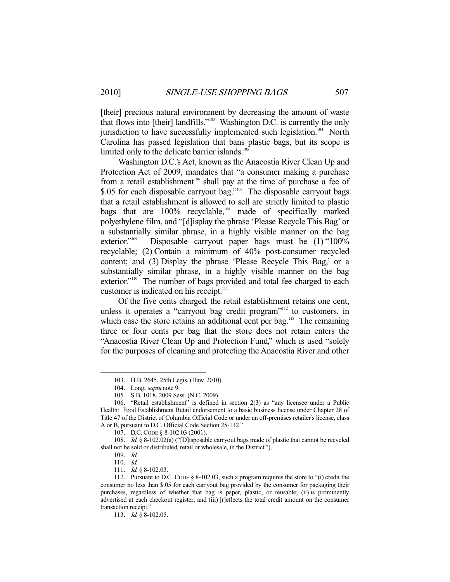[their] precious natural environment by decreasing the amount of waste that flows into [their] landfills."103 Washington D.C. is currently the only jurisdiction to have successfully implemented such legislation.<sup>104</sup> North Carolina has passed legislation that bans plastic bags, but its scope is limited only to the delicate barrier islands.<sup>105</sup>

 Washington D.C.'s Act, known as the Anacostia River Clean Up and Protection Act of 2009, mandates that "a consumer making a purchase from a retail establishment<sup>106</sup> shall pay at the time of purchase a fee of \$.05 for each disposable carryout bag."<sup>107</sup> The disposable carryout bags that a retail establishment is allowed to sell are strictly limited to plastic bags that are  $100\%$  recyclable,<sup>108</sup> made of specifically marked polyethylene film, and "[d]isplay the phrase 'Please Recycle This Bag' or a substantially similar phrase, in a highly visible manner on the bag exterior."<sup>109</sup> Disposable carryout paper bags must be  $(1)$  "100% recyclable; (2) Contain a minimum of 40% post-consumer recycled content; and (3) Display the phrase 'Please Recycle This Bag,' or a substantially similar phrase, in a highly visible manner on the bag exterior."<sup>110</sup> The number of bags provided and total fee charged to each customer is indicated on his receipt.<sup>111</sup>

 Of the five cents charged, the retail establishment retains one cent, unless it operates a "carryout bag credit program"<sup>112</sup> to customers, in which case the store retains an additional cent per bag.<sup>113</sup> The remaining three or four cents per bag that the store does not retain enters the "Anacostia River Clean Up and Protection Fund," which is used "solely for the purposes of cleaning and protecting the Anacostia River and other

 <sup>103.</sup> H.B. 2645, 25th Legis. (Haw. 2010).

<sup>104.</sup> Long, *supra* note 9.

 <sup>105.</sup> S.B. 1018, 2009 Sess. (N.C. 2009).

 <sup>106. &</sup>quot;Retail establishment" is defined in section 2(3) as "any licensee under a Public Health: Food Establishment Retail endorsement to a basic business license under Chapter 28 of Title 47 of the District of Columbia Official Code or under an off-premises retailer's license, class A or B, pursuant to D.C. Official Code Section 25-112."

 <sup>107.</sup> D.C.CODE § 8-102.03 (2001).

 <sup>108.</sup> Id. § 8-102.02(a) ("[D]isposable carryout bags made of plastic that cannot be recycled shall not be sold or distributed, retail or wholesale, in the District.").

 <sup>109.</sup> Id.

 <sup>110.</sup> Id.

<sup>111.</sup> *Id.* § 8-102.03.

 <sup>112.</sup> Pursuant to D.C. CODE § 8-102.03, such a program requires the store to "(i) credit the consumer no less than \$.05 for each carryout bag provided by the consumer for packaging their purchases, regardless of whether that bag is paper, plastic, or reusable; (ii) is prominently advertised at each checkout register; and (iii) [r]eflects the total credit amount on the consumer transaction receipt."

<sup>113.</sup> *Id.* § 8-102.05.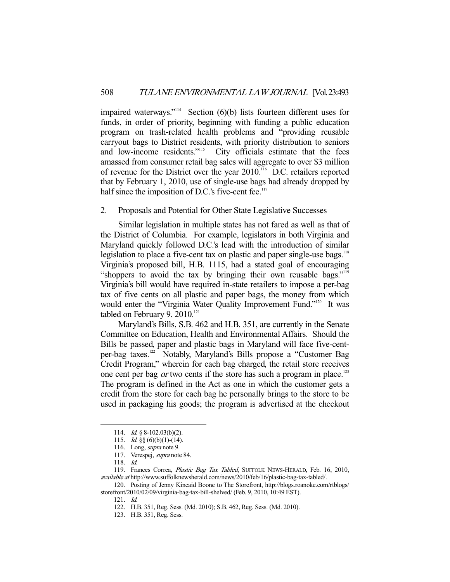impaired waterways." $114$  Section (6)(b) lists fourteen different uses for funds, in order of priority, beginning with funding a public education program on trash-related health problems and "providing reusable carryout bags to District residents, with priority distribution to seniors and low-income residents."<sup>115</sup> City officials estimate that the fees amassed from consumer retail bag sales will aggregate to over \$3 million of revenue for the District over the year 2010.<sup>116</sup> D.C. retailers reported that by February 1, 2010, use of single-use bags had already dropped by half since the imposition of D.C.'s five-cent fee. $117$ 

#### 2. Proposals and Potential for Other State Legislative Successes

 Similar legislation in multiple states has not fared as well as that of the District of Columbia. For example, legislators in both Virginia and Maryland quickly followed D.C.'s lead with the introduction of similar legislation to place a five-cent tax on plastic and paper single-use bags.<sup>118</sup> Virginia's proposed bill, H.B. 1115, had a stated goal of encouraging "shoppers to avoid the tax by bringing their own reusable bags."<sup>119</sup> Virginia's bill would have required in-state retailers to impose a per-bag tax of five cents on all plastic and paper bags, the money from which would enter the "Virginia Water Quality Improvement Fund."<sup>120</sup> It was tabled on February 9.  $2010.^{121}$ 

 Maryland's Bills, S.B. 462 and H.B. 351, are currently in the Senate Committee on Education, Health and Environmental Affairs. Should the Bills be passed, paper and plastic bags in Maryland will face five-centper-bag taxes.122 Notably, Maryland's Bills propose a "Customer Bag Credit Program," wherein for each bag charged, the retail store receives one cent per bag *or* two cents if the store has such a program in place.<sup>123</sup> The program is defined in the Act as one in which the customer gets a credit from the store for each bag he personally brings to the store to be used in packaging his goods; the program is advertised at the checkout

<sup>114.</sup> *Id.* § 8-102.03(b)(2).

<sup>115.</sup> *Id.* §§  $(6)(b)(1)-(14)$ .

<sup>116.</sup> Long, *supra* note 9.

 <sup>117.</sup> Verespej, supra note 84.

 <sup>118.</sup> Id.

<sup>119.</sup> Frances Correa, Plastic Bag Tax Tabled, SUFFOLK NEWS-HERALD, Feb. 16, 2010, available at http://www.suffolknewsherald.com/news/2010/feb/16/plastic-bag-tax-tabled/.

 <sup>120.</sup> Posting of Jenny Kincaid Boone to The Storefront, http://blogs.roanoke.com/rtblogs/ storefront/2010/02/09/virginia-bag-tax-bill-shelved/ (Feb. 9, 2010, 10:49 EST).

 <sup>121.</sup> Id.

 <sup>122.</sup> H.B. 351, Reg. Sess. (Md. 2010); S.B. 462, Reg. Sess. (Md. 2010).

 <sup>123.</sup> H.B. 351, Reg. Sess.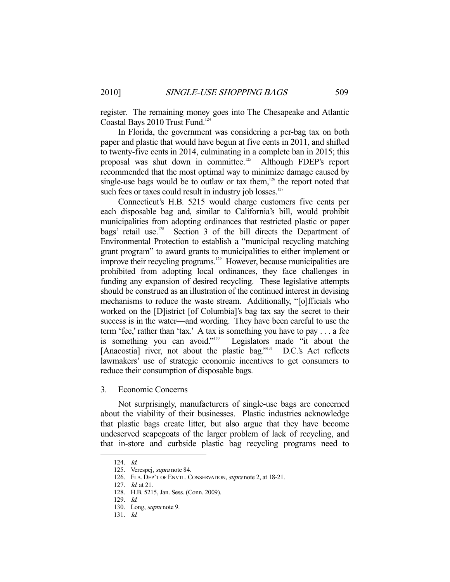register. The remaining money goes into The Chesapeake and Atlantic Coastal Bays 2010 Trust Fund.<sup>124</sup>

 In Florida, the government was considering a per-bag tax on both paper and plastic that would have begun at five cents in 2011, and shifted to twenty-five cents in 2014, culminating in a complete ban in 2015; this proposal was shut down in committee.<sup>125</sup> Although FDEP's report recommended that the most optimal way to minimize damage caused by single-use bags would be to outlaw or tax them, $126$  the report noted that such fees or taxes could result in industry job losses. $127$ 

 Connecticut's H.B. 5215 would charge customers five cents per each disposable bag and, similar to California's bill, would prohibit municipalities from adopting ordinances that restricted plastic or paper bags' retail use.<sup>128</sup> Section 3 of the bill directs the Department of Environmental Protection to establish a "municipal recycling matching grant program" to award grants to municipalities to either implement or improve their recycling programs.<sup>129</sup> However, because municipalities are prohibited from adopting local ordinances, they face challenges in funding any expansion of desired recycling. These legislative attempts should be construed as an illustration of the continued interest in devising mechanisms to reduce the waste stream. Additionally, "[o]fficials who worked on the [D]istrict [of Columbia]'s bag tax say the secret to their success is in the water—and wording. They have been careful to use the term 'fee,' rather than 'tax.' A tax is something you have to pay . . . a fee is something you can avoid."<sup>130</sup> Legislators made "it about the [Anacostia] river, not about the plastic bag."<sup>131</sup> D.C.'s Act reflects lawmakers' use of strategic economic incentives to get consumers to reduce their consumption of disposable bags.

3. Economic Concerns

 Not surprisingly, manufacturers of single-use bags are concerned about the viability of their businesses. Plastic industries acknowledge that plastic bags create litter, but also argue that they have become undeserved scapegoats of the larger problem of lack of recycling, and that in-store and curbside plastic bag recycling programs need to

 <sup>124.</sup> Id.

 <sup>125.</sup> Verespej, supra note 84.

<sup>126.</sup> FLA. DEP'T OF ENVTL. CONSERVATION, supra note 2, at 18-21.

 <sup>127.</sup> Id. at 21.

 <sup>128.</sup> H.B. 5215, Jan. Sess. (Conn. 2009).

 <sup>129.</sup> Id.

<sup>130.</sup> Long, *supra* note 9.

 <sup>131.</sup> Id.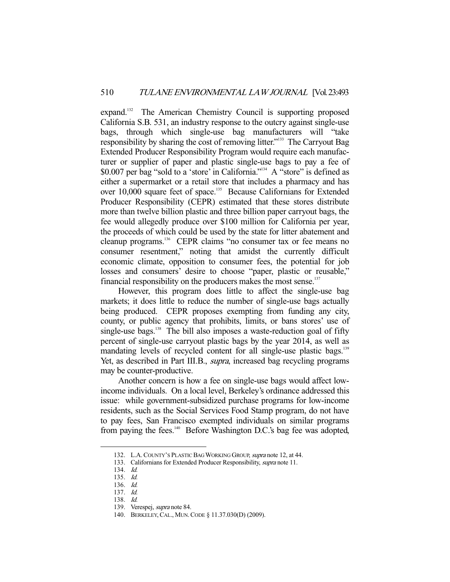expand.<sup>132</sup> The American Chemistry Council is supporting proposed California S.B. 531, an industry response to the outcry against single-use bags, through which single-use bag manufacturers will "take responsibility by sharing the cost of removing litter."133 The Carryout Bag Extended Producer Responsibility Program would require each manufacturer or supplier of paper and plastic single-use bags to pay a fee of \$0.007 per bag "sold to a 'store' in California."134 A "store" is defined as either a supermarket or a retail store that includes a pharmacy and has over 10,000 square feet of space.<sup>135</sup> Because Californians for Extended Producer Responsibility (CEPR) estimated that these stores distribute more than twelve billion plastic and three billion paper carryout bags, the fee would allegedly produce over \$100 million for California per year, the proceeds of which could be used by the state for litter abatement and cleanup programs.136 CEPR claims "no consumer tax or fee means no consumer resentment," noting that amidst the currently difficult economic climate, opposition to consumer fees, the potential for job losses and consumers' desire to choose "paper, plastic or reusable," financial responsibility on the producers makes the most sense.<sup>137</sup>

 However, this program does little to affect the single-use bag markets; it does little to reduce the number of single-use bags actually being produced. CEPR proposes exempting from funding any city, county, or public agency that prohibits, limits, or bans stores' use of single-use bags. $138$  The bill also imposes a waste-reduction goal of fifty percent of single-use carryout plastic bags by the year 2014, as well as mandating levels of recycled content for all single-use plastic bags.<sup>139</sup> Yet, as described in Part III.B., supra, increased bag recycling programs may be counter-productive.

 Another concern is how a fee on single-use bags would affect lowincome individuals. On a local level, Berkeley's ordinance addressed this issue: while government-subsidized purchase programs for low-income residents, such as the Social Services Food Stamp program, do not have to pay fees, San Francisco exempted individuals on similar programs from paying the fees.<sup>140</sup> Before Washington D.C.'s bag fee was adopted,

<sup>132.</sup> L.A. COUNTY'S PLASTIC BAG WORKING GROUP, *supra* note 12, at 44.

<sup>133.</sup> Californians for Extended Producer Responsibility, *supra* note 11.

 <sup>134.</sup> Id.

 <sup>135.</sup> Id.

 <sup>136.</sup> Id.

 <sup>137.</sup> Id.

 <sup>138.</sup> Id.

 <sup>139.</sup> Verespej, supra note 84.

 <sup>140.</sup> BERKELEY,CAL., MUN.CODE § 11.37.030(D) (2009).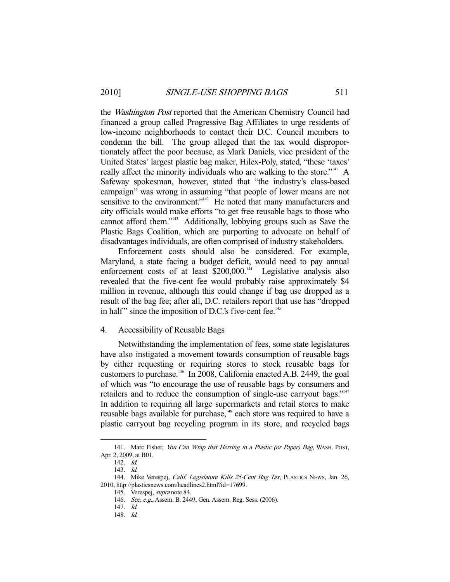the *Washington Post* reported that the American Chemistry Council had financed a group called Progressive Bag Affiliates to urge residents of low-income neighborhoods to contact their D.C. Council members to condemn the bill. The group alleged that the tax would disproportionately affect the poor because, as Mark Daniels, vice president of the United States' largest plastic bag maker, Hilex-Poly, stated, "these 'taxes' really affect the minority individuals who are walking to the store."<sup>141</sup> A Safeway spokesman, however, stated that "the industry's class-based campaign" was wrong in assuming "that people of lower means are not sensitive to the environment."<sup>142</sup> He noted that many manufacturers and city officials would make efforts "to get free reusable bags to those who cannot afford them."143 Additionally, lobbying groups such as Save the Plastic Bags Coalition, which are purporting to advocate on behalf of disadvantages individuals, are often comprised of industry stakeholders.

 Enforcement costs should also be considered. For example, Maryland, a state facing a budget deficit, would need to pay annual enforcement costs of at least \$200,000.<sup>144</sup> Legislative analysis also revealed that the five-cent fee would probably raise approximately \$4 million in revenue, although this could change if bag use dropped as a result of the bag fee; after all, D.C. retailers report that use has "dropped in half" since the imposition of D.C.'s five-cent fee.<sup>145</sup>

#### 4. Accessibility of Reusable Bags

 Notwithstanding the implementation of fees, some state legislatures have also instigated a movement towards consumption of reusable bags by either requesting or requiring stores to stock reusable bags for customers to purchase.146 In 2008, California enacted A.B. 2449, the goal of which was "to encourage the use of reusable bags by consumers and retailers and to reduce the consumption of single-use carryout bags."<sup>147</sup> In addition to requiring all large supermarkets and retail stores to make reusable bags available for purchase,<sup>148</sup> each store was required to have a plastic carryout bag recycling program in its store, and recycled bags

<sup>141.</sup> Marc Fisher, You Can Wrap that Herring in a Plastic (or Paper) Bag, WASH. POST, Apr. 2, 2009, at B01.

 <sup>142.</sup> Id.

 <sup>143.</sup> Id.

<sup>144.</sup> Mike Verespej, Calif. Legislature Kills 25-Cent Bag Tax, PLASTICS NEWS, Jan. 26, 2010, http://plasticsnews.com/headlines2.html?id=17699.

 <sup>145.</sup> Verespej, supra note 84.

<sup>146.</sup> See, e.g., Assem. B. 2449, Gen. Assem. Reg. Sess. (2006).

 <sup>147.</sup> Id.

 <sup>148.</sup> Id.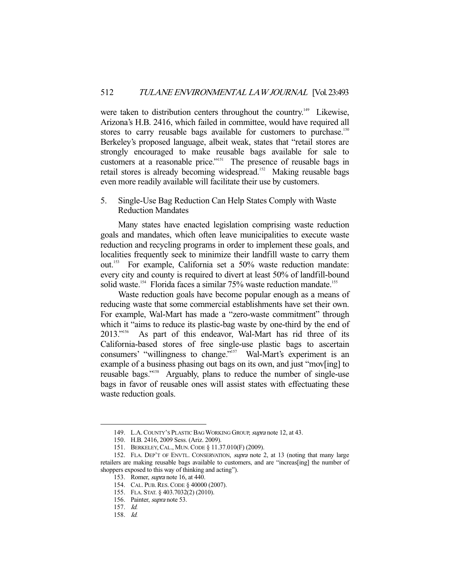were taken to distribution centers throughout the country.<sup>149</sup> Likewise, Arizona's H.B. 2416, which failed in committee, would have required all stores to carry reusable bags available for customers to purchase.<sup>150</sup> Berkeley's proposed language, albeit weak, states that "retail stores are strongly encouraged to make reusable bags available for sale to customers at a reasonable price."<sup>151</sup> The presence of reusable bags in retail stores is already becoming widespread.<sup>152</sup> Making reusable bags even more readily available will facilitate their use by customers.

# 5. Single-Use Bag Reduction Can Help States Comply with Waste Reduction Mandates

 Many states have enacted legislation comprising waste reduction goals and mandates, which often leave municipalities to execute waste reduction and recycling programs in order to implement these goals, and localities frequently seek to minimize their landfill waste to carry them out.153 For example, California set a 50% waste reduction mandate: every city and county is required to divert at least 50% of landfill-bound solid waste.<sup>154</sup> Florida faces a similar 75% waste reduction mandate.<sup>155</sup>

 Waste reduction goals have become popular enough as a means of reducing waste that some commercial establishments have set their own. For example, Wal-Mart has made a "zero-waste commitment" through which it "aims to reduce its plastic-bag waste by one-third by the end of 2013."156 As part of this endeavor, Wal-Mart has rid three of its California-based stores of free single-use plastic bags to ascertain consumers' "willingness to change."<sup>157</sup> Wal-Mart's experiment is an example of a business phasing out bags on its own, and just "mov[ing] to reusable bags."158 Arguably, plans to reduce the number of single-use bags in favor of reusable ones will assist states with effectuating these waste reduction goals.

 <sup>149.</sup> L.A.COUNTY'S PLASTIC BAG WORKING GROUP, supra note 12, at 43.

 <sup>150.</sup> H.B. 2416, 2009 Sess. (Ariz. 2009).

 <sup>151.</sup> BERKELEY,CAL., MUN.CODE § 11.37.010(F) (2009).

 <sup>152.</sup> FLA. DEP'T OF ENVTL. CONSERVATION, supra note 2, at 13 (noting that many large retailers are making reusable bags available to customers, and are "increas[ing] the number of shoppers exposed to this way of thinking and acting").

 <sup>153.</sup> Romer, supra note 16, at 440.

 <sup>154.</sup> CAL. PUB.RES.CODE § 40000 (2007).

 <sup>155.</sup> FLA. STAT. § 403.7032(2) (2010).

 <sup>156.</sup> Painter, supra note 53.

 <sup>157.</sup> Id.

 <sup>158.</sup> Id.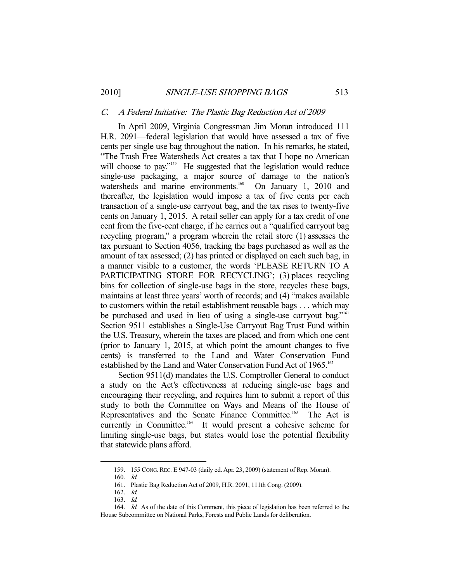#### C. A Federal Initiative: The Plastic Bag Reduction Act of 2009

 In April 2009, Virginia Congressman Jim Moran introduced 111 H.R. 2091—federal legislation that would have assessed a tax of five cents per single use bag throughout the nation. In his remarks, he stated, "The Trash Free Watersheds Act creates a tax that I hope no American will choose to pay."<sup>159</sup> He suggested that the legislation would reduce single-use packaging, a major source of damage to the nation's watersheds and marine environments.<sup>160</sup> On January 1, 2010 and thereafter, the legislation would impose a tax of five cents per each transaction of a single-use carryout bag, and the tax rises to twenty-five cents on January 1, 2015. A retail seller can apply for a tax credit of one cent from the five-cent charge, if he carries out a "qualified carryout bag recycling program," a program wherein the retail store (1) assesses the tax pursuant to Section 4056, tracking the bags purchased as well as the amount of tax assessed; (2) has printed or displayed on each such bag, in a manner visible to a customer, the words 'PLEASE RETURN TO A PARTICIPATING STORE FOR RECYCLING'; (3) places recycling bins for collection of single-use bags in the store, recycles these bags, maintains at least three years' worth of records; and (4) "makes available to customers within the retail establishment reusable bags . . . which may be purchased and used in lieu of using a single-use carryout bag."<sup>161</sup> Section 9511 establishes a Single-Use Carryout Bag Trust Fund within the U.S. Treasury, wherein the taxes are placed, and from which one cent (prior to January 1, 2015, at which point the amount changes to five cents) is transferred to the Land and Water Conservation Fund established by the Land and Water Conservation Fund Act of 1965.<sup>162</sup>

 Section 9511(d) mandates the U.S. Comptroller General to conduct a study on the Act's effectiveness at reducing single-use bags and encouraging their recycling, and requires him to submit a report of this study to both the Committee on Ways and Means of the House of Representatives and the Senate Finance Committee.<sup>163</sup> The Act is currently in Committee.<sup>164</sup> It would present a cohesive scheme for limiting single-use bags, but states would lose the potential flexibility that statewide plans afford.

159. 155 CONG.REC. E 947-03 (daily ed. Apr. 23, 2009) (statement of Rep. Moran).

 <sup>160.</sup> Id.

 <sup>161.</sup> Plastic Bag Reduction Act of 2009, H.R. 2091, 111th Cong. (2009).

 <sup>162.</sup> Id.

 <sup>163.</sup> Id.

<sup>164.</sup> Id. As of the date of this Comment, this piece of legislation has been referred to the House Subcommittee on National Parks, Forests and Public Lands for deliberation.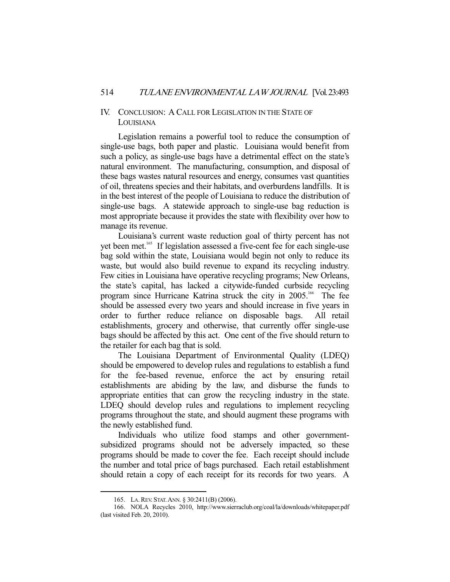### IV. CONCLUSION: A CALL FOR LEGISLATION IN THE STATE OF LOUISIANA

 Legislation remains a powerful tool to reduce the consumption of single-use bags, both paper and plastic. Louisiana would benefit from such a policy, as single-use bags have a detrimental effect on the state's natural environment. The manufacturing, consumption, and disposal of these bags wastes natural resources and energy, consumes vast quantities of oil, threatens species and their habitats, and overburdens landfills. It is in the best interest of the people of Louisiana to reduce the distribution of single-use bags. A statewide approach to single-use bag reduction is most appropriate because it provides the state with flexibility over how to manage its revenue.

 Louisiana's current waste reduction goal of thirty percent has not yet been met.<sup>165</sup> If legislation assessed a five-cent fee for each single-use bag sold within the state, Louisiana would begin not only to reduce its waste, but would also build revenue to expand its recycling industry. Few cities in Louisiana have operative recycling programs; New Orleans, the state's capital, has lacked a citywide-funded curbside recycling program since Hurricane Katrina struck the city in 2005.<sup>166</sup> The fee should be assessed every two years and should increase in five years in order to further reduce reliance on disposable bags. All retail establishments, grocery and otherwise, that currently offer single-use bags should be affected by this act. One cent of the five should return to the retailer for each bag that is sold.

 The Louisiana Department of Environmental Quality (LDEQ) should be empowered to develop rules and regulations to establish a fund for the fee-based revenue, enforce the act by ensuring retail establishments are abiding by the law, and disburse the funds to appropriate entities that can grow the recycling industry in the state. LDEQ should develop rules and regulations to implement recycling programs throughout the state, and should augment these programs with the newly established fund.

 Individuals who utilize food stamps and other governmentsubsidized programs should not be adversely impacted, so these programs should be made to cover the fee. Each receipt should include the number and total price of bags purchased. Each retail establishment should retain a copy of each receipt for its records for two years. A

 <sup>165.</sup> LA.REV. STAT.ANN. § 30:2411(B) (2006).

 <sup>166.</sup> NOLA Recycles 2010, http://www.sierraclub.org/coal/la/downloads/whitepaper.pdf (last visited Feb. 20, 2010).